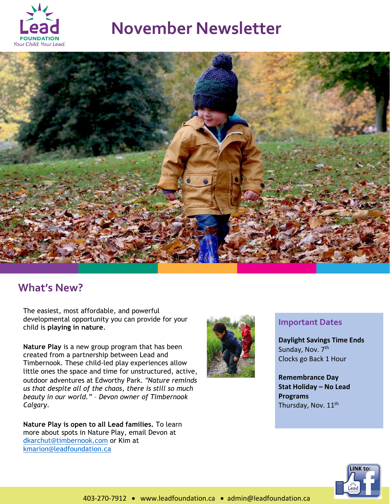

# **November Newsletter**



### **What's New?**

The easiest, most affordable, and powerful developmental opportunity you can provide for your child is **playing in nature**.

**Nature Play** is a new group program that has been created from a partnership between Lead and Timbernook. These child-led play experiences allow little ones the space and time for unstructured, active, outdoor adventures at Edworthy Park. *"Nature reminds us that despite all of the chaos, there is still so much beauty in our world."* – *Devon owner of Timbernook Calgary*.

**Nature Play is open to all Lead families.** To learn more about spots in Nature Play, email Devon at [dkarchut@timbernook.com](mailto:dkarchut@timbernook.com) or Kim at [kmarion@leadfoundation.ca](mailto:kmarion@leadfoundation.ca)



#### **Important Dates**

**Daylight Savings Time Ends** Sunday, Nov. 7<sup>th</sup> Clocks go Back 1 Hour

**Remembrance Day Stat Holiday – No Lead Programs** Thursday, Nov. 11<sup>th</sup>